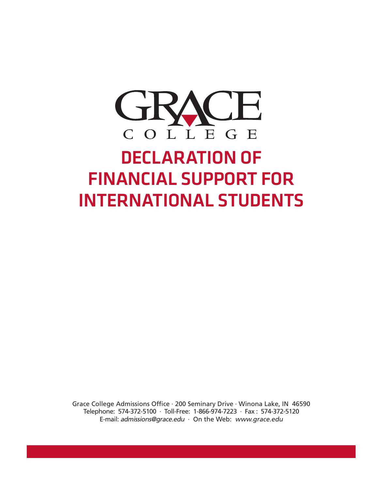

## DECLARATION OF FINANCIAL SUPPORT FOR INTERNATIONAL STUDENTS

Grace College Admissions Office · 200 Seminary Drive · Winona Lake, IN 46590 Telephone: 574-372-5100 · Toll-Free: 1-866-974-7223 · Fax : 574-372-5120 E-mail: admissions@grace.edu  $\cdot$  On the Web: www.grace.edu